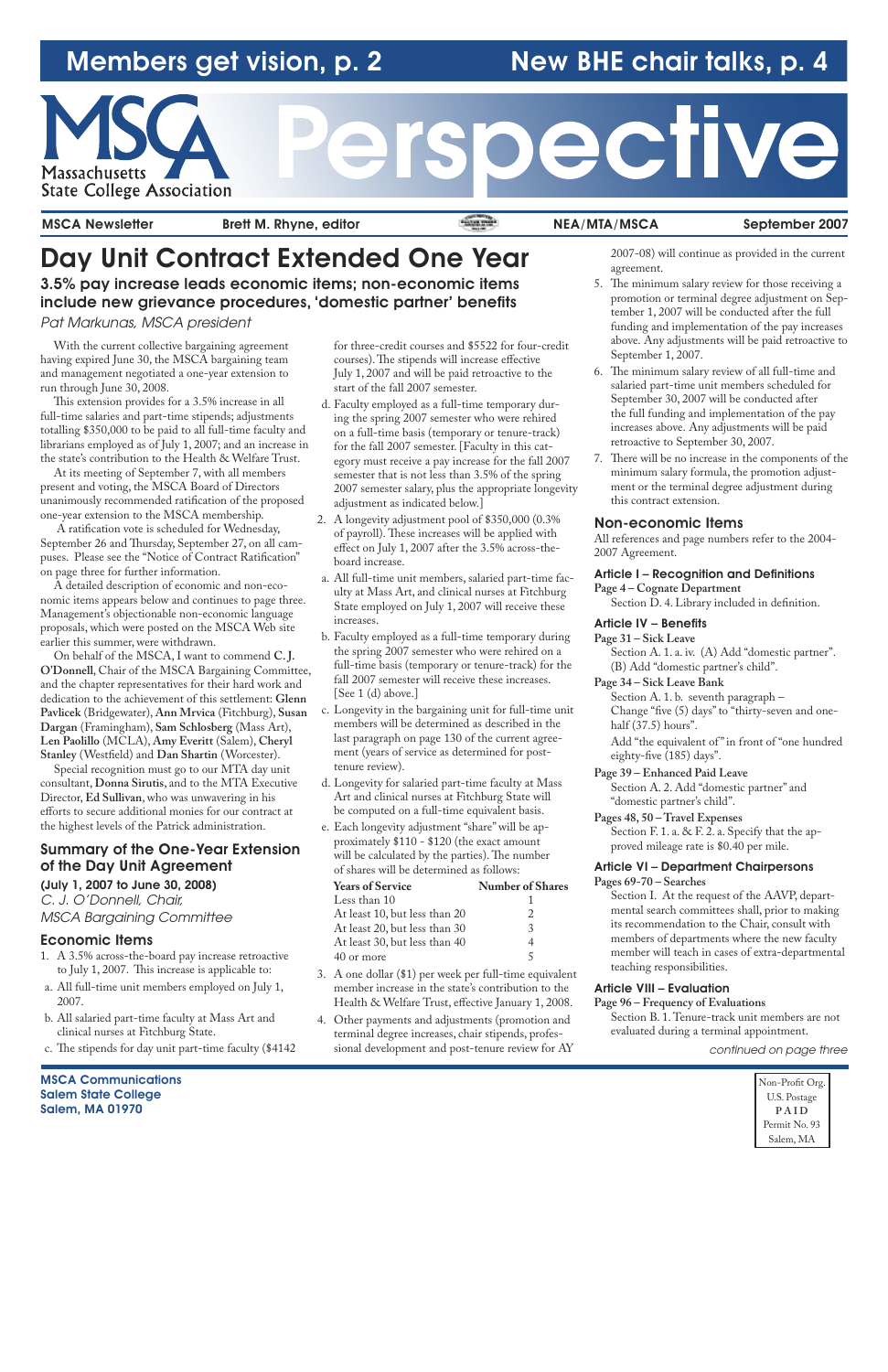# Members get vision, p. 2 New BHE chair talks, p. 4



# ective

MSCA Newsletter Brett M. Rhyne, editor Network Change NEA/MTA/MSCA September 2007

MSCA Communications Salem State College Salem, MA 01970

Non-Profit Org. U.S. Postage **P A I D** Permit No. 93 Salem, MA

# Day Unit Contract Extended One Year

3.5% pay increase leads economic items; non-economic items include new grievance procedures, 'domestic partner' benefits

Pat Markunas, MSCA president

With the current collective bargaining agreement having expired June 30, the MSCA bargaining team and management negotiated a one-year extension to run through June 30, 2008.

This extension provides for a 3.5% increase in all full-time salaries and part-time stipends; adjustments totalling \$350,000 to be paid to all full-time faculty and librarians employed as of July 1, 2007; and an increase in the state's contribution to the Health & Welfare Trust.

At its meeting of September 7, with all members present and voting, the MSCA Board of Directors unanimously recommended ratification of the proposed one-year extension to the MSCA membership.

 A ratification vote is scheduled for Wednesday, September 26 and Thursday, September 27, on all campuses. Please see the "Notice of Contract Ratification" on page three for further information.

A detailed description of economic and non-economic items appears below and continues to page three. Management's objectionable non-economic language proposals, which were posted on the MSCA Web site earlier this summer, were withdrawn.

On behalf of the MSCA, I want to commend **C. J. O'Donnell**, Chair of the MSCA Bargaining Committee, and the chapter representatives for their hard work and dedication to the achievement of this settlement: **Glenn Pavlicek** (Bridgewater), **Ann Mrvica** (Fitchburg), **Susan Dargan** (Framingham), **Sam Schlosberg** (Mass Art), **Len Paolillo** (MCLA), **Amy Everitt** (Salem), **Cheryl Stanley** (Westfield) and **Dan Shartin** (Worcester).

Special recognition must go to our MTA day unit consultant, **Donna Sirutis**, and to the MTA Executive Director, **Ed Sullivan**, who was unwavering in his efforts to secure additional monies for our contract at the highest levels of the Patrick administration.

## Summary of the One-Year Extension of the Day Unit Agreement

#### (July 1, 2007 to June 30, 2008)

C. J. O'Donnell, Chair, MSCA Bargaining Committee

#### Economic Items

- 1. A 3.5% across-the-board pay increase retroactive to July 1, 2007. This increase is applicable to:
- a. All full-time unit members employed on July 1, 2007.

- b. All salaried part-time faculty at Mass Art and clinical nurses at Fitchburg State.
- c. The stipends for day unit part-time faculty (\$4142

for three-credit courses and \$5522 for four-credit courses). The stipends will increase effective July 1, 2007 and will be paid retroactive to the start of the fall 2007 semester.

> Add "the equivalent of" in front of "one hundred eighty-five (185) days".

- d. Faculty employed as a full-time temporary during the spring 2007 semester who were rehired on a full-time basis (temporary or tenure-track) for the fall 2007 semester. [Faculty in this category must receive a pay increase for the fall 2007 semester that is not less than 3.5% of the spring 2007 semester salary, plus the appropriate longevity adjustment as indicated below.]
- 2. A longevity adjustment pool of \$350,000 (0.3% of payroll). These increases will be applied with effect on July 1, 2007 after the 3.5% across-theboard increase.
- a. All full-time unit members, salaried part-time faculty at Mass Art, and clinical nurses at Fitchburg State employed on July 1, 2007 will receive these increases.
- b. Faculty employed as a full-time temporary during the spring 2007 semester who were rehired on a full-time basis (temporary or tenure-track) for the fall 2007 semester will receive these increases. [See 1 (d) above.]
- c. Longevity in the bargaining unit for full-time unit members will be determined as described in the last paragraph on page 130 of the current agreement (years of service as determined for posttenure review).
- d. Longevity for salaried part-time faculty at Mass Art and clinical nurses at Fitchburg State will be computed on a full-time equivalent basis.
- e. Each longevity adjustment "share" will be approximately \$110 - \$120 (the exact amount will be calculated by the parties). The number of shares will be determined as follows:

| <b>Years of Service</b>       | <b>Number of Shares</b> |
|-------------------------------|-------------------------|
| Less than 10                  |                         |
| At least 10, but less than 20 |                         |
| At least 20, but less than 30 |                         |
| At least 30, but less than 40 |                         |
| 40 or more                    |                         |
|                               |                         |

3. A one dollar (\$1) per week per full-time equivalent member increase in the state's contribution to the Health & Welfare Trust, effective January 1, 2008.

4. Other payments and adjustments (promotion and terminal degree increases, chair stipends, professional development and post-tenure review for AY 2007-08) will continue as provided in the current agreement.

- 5. The minimum salary review for those receiving a promotion or terminal degree adjustment on September 1, 2007 will be conducted after the full funding and implementation of the pay increases above. Any adjustments will be paid retroactive to September 1, 2007.
- 6. The minimum salary review of all full-time and salaried part-time unit members scheduled for September 30, 2007 will be conducted after the full funding and implementation of the pay increases above. Any adjustments will be paid retroactive to September 30, 2007.
- 7. There will be no increase in the components of the minimum salary formula, the promotion adjustment or the terminal degree adjustment during this contract extension.

#### Non-economic Items

All references and page numbers refer to the 2004- 2007 Agreement.

#### Article I – Recognition and Definitions

**Page 4 – Cognate Department** Section D. 4. Library included in definition.

#### Article IV – Benefits

**Page 31 – Sick Leave** Section A. 1. a. iv. (A) Add "domestic partner". (B) Add "domestic partner's child".

### **Page 34 – Sick Leave Bank**

Section A. 1. b. seventh paragraph – Change "five (5) days" to "thirty-seven and onehalf (37.5) hours".

**Page 39 – Enhanced Paid Leave**

Section A. 2. Add "domestic partner" and "domestic partner's child".

**Pages 48, 50 – Travel Expenses**

Section F. 1. a. & F. 2. a. Specify that the approved mileage rate is \$0.40 per mile.

#### Article VI – Department Chairpersons **Pages 69-70 – Searches**

Section I. At the request of the AAVP, departmental search committees shall, prior to making its recommendation to the Chair, consult with members of departments where the new faculty member will teach in cases of extra-departmental teaching responsibilities.

#### Article VIII – Evaluation

**Page 96 – Frequency of Evaluations**

Section B. 1. Tenure-track unit members are not evaluated during a terminal appointment.

continued on page three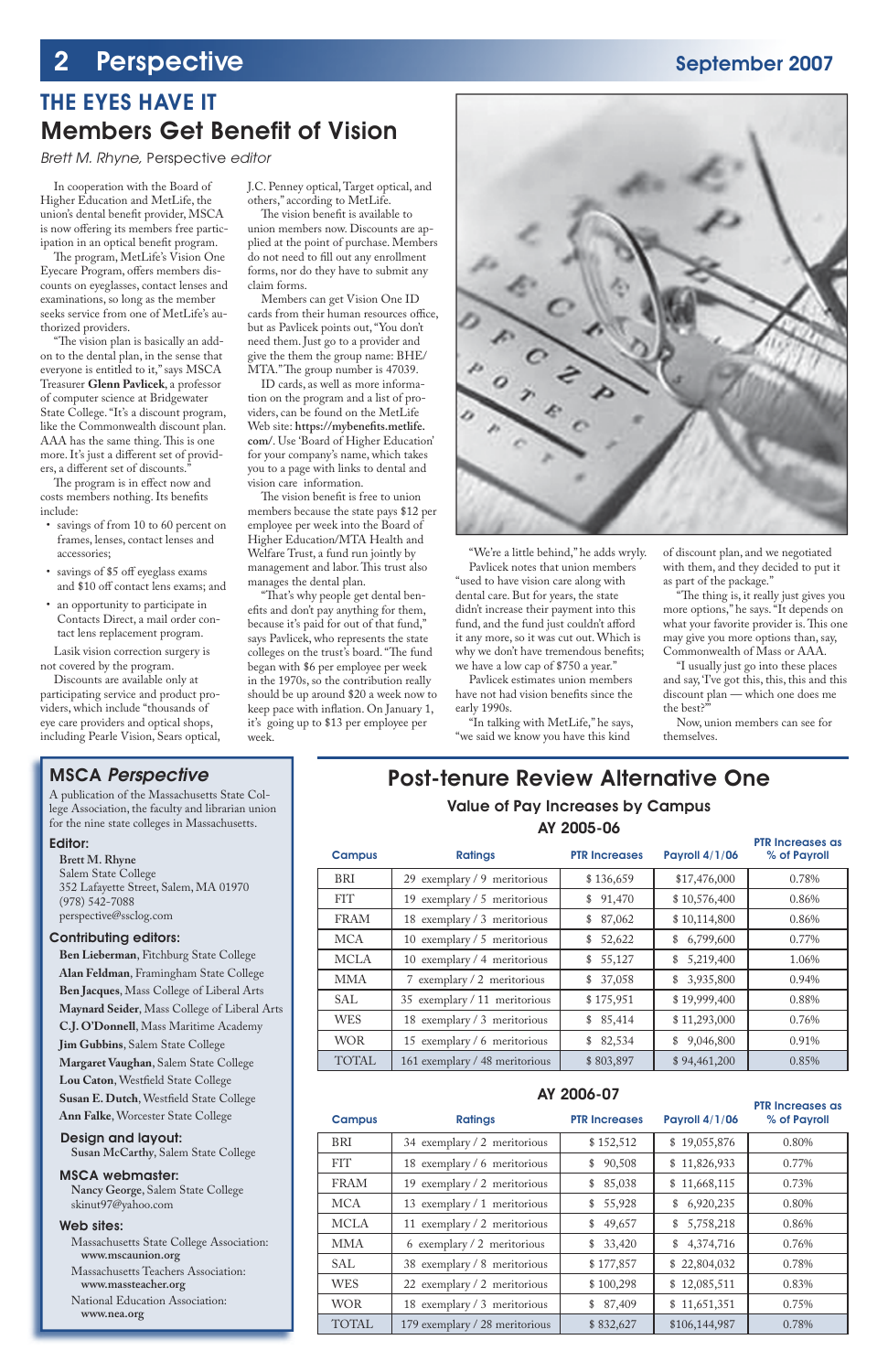# 2 Perspective September 2007

## THE EYES HAVE IT **Members Get Benefit of Vision**

In cooperation with the Board of Higher Education and MetLife, the union's dental benefit provider, MSCA is now offering its members free participation in an optical benefit program.

Brett M. Rhyne, Perspective editor

The program, MetLife's Vision One Eyecare Program, offers members discounts on eyeglasses, contact lenses and examinations, so long as the member seeks service from one of MetLife's authorized providers.

"The vision plan is basically an addon to the dental plan, in the sense that everyone is entitled to it," says MSCA Treasurer **Glenn Pavlicek**, a professor of computer science at Bridgewater State College. "It's a discount program, like the Commonwealth discount plan. AAA has the same thing. This is one more. It's just a different set of providers, a different set of discounts."

The program is in effect now and costs members nothing. Its benefits include:

The vision benefit is available to union members now. Discounts are applied at the point of purchase. Members do not need to fill out any enrollment forms, nor do they have to submit any claim forms.

Members can get Vision One ID cards from their human resources office, but as Pavlicek points out, "You don't need them. Just go to a provider and give the them the group name: BHE/ MTA." The group number is 47039.

- savings of from 10 to 60 percent on frames, lenses, contact lenses and accessories;
- savings of \$5 off eyeglass exams and \$10 off contact lens exams; and
- an opportunity to participate in Contacts Direct, a mail order contact lens replacement program.

The vision benefit is free to union members because the state pays \$12 per employee per week into the Board of Higher Education/MTA Health and Welfare Trust, a fund run jointly by management and labor. This trust also manages the dental plan.

Lasik vision correction surgery is not covered by the program.

Discounts are available only at participating service and product providers, which include "thousands of eye care providers and optical shops, including Pearle Vision, Sears optical,

"That's why people get dental benefits and don't pay anything for them, because it's paid for out of that fund," says Pavlicek, who represents the state colleges on the trust's board. "The fund began with \$6 per employee per week in the 1970s, so the contribution really should be up around \$20 a week now to keep pace with inflation. On January 1, it's going up to \$13 per employee per week.



J.C. Penney optical, Target optical, and others," according to MetLife.

ID cards, as well as more information on the program and a list of providers, can be found on the MetLife Web site: https://mybenefits.metlife. **com/**. Use 'Board of Higher Education' for your company's name, which takes you to a page with links to dental and vision care information.

> "The thing is, it really just gives you more options," he says. "It depends on what your favorite provider is. This one may give you more options than, say, Commonwealth of Mass or AAA.

## Post-tenure Review Alternative One

## Value of Pay Increases by Campus AY 2005-06

"We're a little behind," he adds wryly. Pavlicek notes that union members "used to have vision care along with dental care. But for years, the state didn't increase their payment into this fund, and the fund just couldn't afford it any more, so it was cut out. Which is why we don't have tremendous benefits; we have a low cap of \$750 a year."

Pavlicek estimates union members have not had vision benefits since the early 1990s.

"In talking with MetLife," he says, "we said we know you have this kind

of discount plan, and we negotiated with them, and they decided to put it as part of the package."

"I usually just go into these places and say, 'I've got this, this, this and this discount plan — which one does me the best?'"

| <b>Campus</b>                         | <b>Ratings</b>                 | <b>PTR Increases</b> | <b>Payroll 4/1/06</b> | <b>PTR Increases as</b><br>% of Payroll |  |  |  |  |  |
|---------------------------------------|--------------------------------|----------------------|-----------------------|-----------------------------------------|--|--|--|--|--|
| <b>BRI</b>                            | 29 exemplary / 9 meritorious   | \$136,659            | \$17,476,000          | 0.78%                                   |  |  |  |  |  |
| <b>FIT</b>                            | 19 exemplary / 5 meritorious   | \$91,470             | \$10,576,400          | 0.86%                                   |  |  |  |  |  |
| <b>FRAM</b>                           | 18 exemplary / 3 meritorious   | 87,062<br>\$         | \$10,114,800          | 0.86%                                   |  |  |  |  |  |
| <b>MCA</b>                            | 10 exemplary / 5 meritorious   | 52,622<br>\$         | 6,799,600<br>\$       | 0.77%                                   |  |  |  |  |  |
| <b>MCLA</b>                           | 10 exemplary / 4 meritorious   | 55,127<br>\$         | 5,219,400<br>\$       | 1.06%                                   |  |  |  |  |  |
| <b>MMA</b>                            | 7 exemplary / 2 meritorious    | 37,058<br>\$         | 3,935,800<br>\$       | 0.94%                                   |  |  |  |  |  |
| <b>SAL</b>                            | 35 exemplary / 11 meritorious  | \$175,951            | \$19,999,400          | 0.88%                                   |  |  |  |  |  |
| <b>WES</b>                            | 18 exemplary / 3 meritorious   | \$85,414             | \$11,293,000          | 0.76%                                   |  |  |  |  |  |
| <b>WOR</b>                            | 15 exemplary / 6 meritorious   | \$82,534             | \$9,046,800           | 0.91%                                   |  |  |  |  |  |
| <b>TOTAL</b>                          | 161 exemplary / 48 meritorious | \$803,897            | \$94,461,200          | 0.85%                                   |  |  |  |  |  |
| AY 2006-07<br><b>PTR Increases as</b> |                                |                      |                       |                                         |  |  |  |  |  |
|                                       |                                |                      |                       |                                         |  |  |  |  |  |
| <b>Campus</b>                         | <b>Ratings</b>                 | <b>PTR Increases</b> | <b>Payroll 4/1/06</b> | % of Payroll                            |  |  |  |  |  |
| <b>BRI</b>                            | 34 exemplary / 2 meritorious   | \$152,512            | \$19,055,876          | 0.80%                                   |  |  |  |  |  |
| <b>FIT</b>                            | 18 exemplary / 6 meritorious   | 90,508<br>\$         | \$11,826,933          | 0.77%                                   |  |  |  |  |  |
| <b>FRAM</b>                           | 19 exemplary / 2 meritorious   | 85,038<br>\$         | \$11,668,115          | 0.73%                                   |  |  |  |  |  |
| <b>MCA</b>                            | 13 exemplary / 1 meritorious   | 55,928<br>\$         | 6,920,235<br>\$       | 0.80%                                   |  |  |  |  |  |
| <b>MCLA</b>                           | 11 exemplary / 2 meritorious   | 49,657<br>\$         | 5,758,218<br>\$       | 0.86%                                   |  |  |  |  |  |
| <b>MMA</b>                            | 6 exemplary / 2 meritorious    | \$33,420             | 4,374,716<br>\$       | 0.76%                                   |  |  |  |  |  |
| <b>SAL</b>                            | 38 exemplary / 8 meritorious   | \$177,857            | \$22,804,032          | 0.78%                                   |  |  |  |  |  |
| <b>WES</b>                            | 22 exemplary / 2 meritorious   | \$100,298            | \$12,085,511          | 0.83%                                   |  |  |  |  |  |
| <b>WOR</b>                            | 18 exemplary / 3 meritorious   | \$87,409             | \$11,651,351          | 0.75%                                   |  |  |  |  |  |

Now, union members can see for themselves.

## MSCA Perspective

A publication of the Massachusetts State College Association, the faculty and librarian union for the nine state colleges in Massachusetts.

#### Editor:

**Brett M. Rhyne** Salem State College 352 Lafayette Street, Salem, MA 01970 (978) 542-7088 perspective@ssclog.com

#### Contributing editors:

**Ben Lieberman**, Fitchburg State College **Alan Feldman**, Framingham State College **Ben Jacques**, Mass College of Liberal Arts **Maynard Seider**, Mass College of Liberal Arts **C.J. O'Donnell**, Mass Maritime Academy **Jim Gubbins**, Salem State College **Margaret Vaughan**, Salem State College Lou Caton, Westfield State College **Susan E. Dutch, Westfield State College Ann Falke**, Worcester State College

#### Design and layout:

 **Susan McCarthy**, Salem State College

#### MSCA webmaster:

 **Nancy George**, Salem State College skinut97@yahoo.com

#### Web sites:

 Massachusetts State College Association: **www.mscaunion.org** Massachusetts Teachers Association: **www.massteacher.org** National Education Association: **www.nea.org**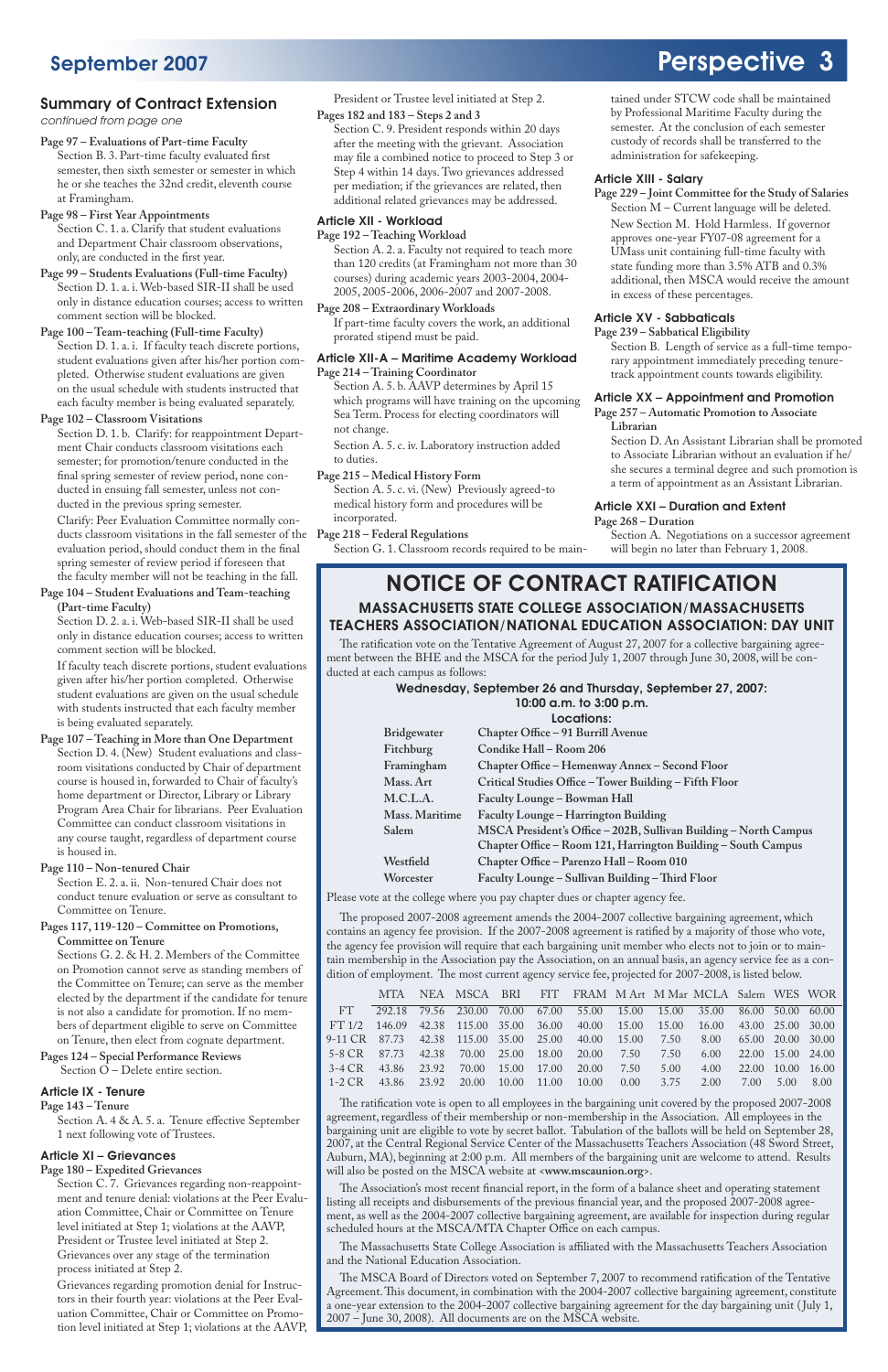### Summary of Contract Extension

continued from page one

## NOTICE OF CONTRACT RATIFICATION MASSACHUSETTS STATE COLLEGE ASSOCIATION/MASSACHUSETTS TEACHERS ASSOCIATION/NATIONAL EDUCATION ASSOCIATION: DAY UNIT

The ratification vote on the Tentative Agreement of August 27, 2007 for a collective bargaining agreement between the BHE and the MSCA for the period July 1, 2007 through June 30, 2008, will be conducted at each campus as follows:

#### Wednesday, September 26 and Thursday, September 27, 2007:

|                    | 10:00 a.m. to 3:00 p.m.<br>Locations:                                                                                             |
|--------------------|-----------------------------------------------------------------------------------------------------------------------------------|
| <b>Bridgewater</b> | Chapter Office - 91 Burrill Avenue                                                                                                |
| Fitchburg          | Condike Hall - Room 206                                                                                                           |
| Framingham         | Chapter Office – Hemenway Annex – Second Floor                                                                                    |
| Mass. Art          | Critical Studies Office - Tower Building - Fifth Floor                                                                            |
| M.C.L.A.           | Faculty Lounge - Bowman Hall                                                                                                      |
| Mass. Maritime     | Faculty Lounge – Harrington Building                                                                                              |
| Salem              | MSCA President's Office - 202B, Sullivan Building - North Campus<br>Chapter Office - Room 121, Harrington Building - South Campus |
| Westfield          | Chapter Office - Parenzo Hall - Room 010                                                                                          |
| Worcester          | Faculty Lounge – Sullivan Building – Third Floor                                                                                  |

Please vote at the college where you pay chapter dues or chapter agency fee.

The proposed 2007-2008 agreement amends the 2004-2007 collective bargaining agreement, which contains an agency fee provision. If the 2007-2008 agreement is ratified by a majority of those who vote, the agency fee provision will require that each bargaining unit member who elects not to join or to maintain membership in the Association pay the Association, on an annual basis, an agency service fee as a condition of employment. The most current agency service fee, projected for 2007-2008, is listed below.

MTA NEA MSCA BRI FIT FRAM M Art M Mar MCLA Salem WES WOR

# September 2007 **Perspective 3**

| FT 292.18 79.56 230.00 70.00 67.00 55.00 15.00 15.00 35.00 86.00 50.00 60.00     |  |  |  |  |  |  |
|----------------------------------------------------------------------------------|--|--|--|--|--|--|
| FT 1/2 146.09 42.38 115.00 35.00 36.00 40.00 15.00 15.00 16.00 43.00 25.00 30.00 |  |  |  |  |  |  |
| 9-11 CR 87.73 42.38 115.00 35.00 25.00 40.00 15.00 7.50 8.00 65.00 20.00 30.00   |  |  |  |  |  |  |
| 5-8 CR 87.73 42.38 70.00 25.00 18.00 20.00 7.50 7.50 6.00 22.00 15.00 24.00      |  |  |  |  |  |  |
| 3-4 CR 43.86 23.92 70.00 15.00 17.00 20.00 7.50 5.00 4.00 22.00 10.00 16.00      |  |  |  |  |  |  |
| 1-2 CR 43.86 23.92 20.00 10.00 11.00 10.00 0.00 3.75 2.00 7.00 5.00 8.00         |  |  |  |  |  |  |
|                                                                                  |  |  |  |  |  |  |

The ratification vote is open to all employees in the bargaining unit covered by the proposed 2007-2008 agreement, regardless of their membership or non-membership in the Association. All employees in the bargaining unit are eligible to vote by secret ballot. Tabulation of the ballots will be held on September 28, 2007, at the Central Regional Service Center of the Massachusetts Teachers Association (48 Sword Street, Auburn, MA), beginning at 2:00 p.m. All members of the bargaining unit are welcome to attend. Results will also be posted on the MSCA website at <**www.mscaunion.org**>.

The Association's most recent financial report, in the form of a balance sheet and operating statement listing all receipts and disbursements of the previous financial year, and the proposed 2007-2008 agreement, as well as the 2004-2007 collective bargaining agreement, are available for inspection during regular scheduled hours at the MSCA/MTA Chapter Office on each campus.

The Massachusetts State College Association is affiliated with the Massachusetts Teachers Association and the National Education Association.

The MSCA Board of Directors voted on September 7, 2007 to recommend ratification of the Tentative Agreement. This document, in combination with the 2004-2007 collective bargaining agreement, constitute a one-year extension to the 2004-2007 collective bargaining agreement for the day bargaining unit ( July 1, 2007 – June 30, 2008). All documents are on the MSCA website.

**Page 97 – Evaluations of Part-time Faculty**

Section B. 3. Part-time faculty evaluated first semester, then sixth semester or semester in which he or she teaches the 32nd credit, eleventh course at Framingham.

- **Page 98 First Year Appointments** Section C. 1. a. Clarify that student evaluations and Department Chair classroom observations, only, are conducted in the first year.
- **Page 99 Students Evaluations (Full-time Faculty)** Section D. 1. a. i. Web-based SIR-II shall be used only in distance education courses; access to written comment section will be blocked.

**Page 100 – Team-teaching (Full-time Faculty)** Section D. 1. a. i. If faculty teach discrete portions, student evaluations given after his/her portion completed. Otherwise student evaluations are given on the usual schedule with students instructed that each faculty member is being evaluated separately.

#### **Page 102 – Classroom Visitations**

Section D. 1. b. Clarify: for reappointment Department Chair conducts classroom visitations each semester; for promotion/tenure conducted in the final spring semester of review period, none conducted in ensuing fall semester, unless not conducted in the previous spring semester.

 Clarify: Peer Evaluation Committee normally conducts classroom visitations in the fall semester of the **Page 218 – Federal Regulations** evaluation period, should conduct them in the final spring semester of review period if foreseen that the faculty member will not be teaching in the fall.

**Page 104 – Student Evaluations and Team-teaching (Part-time Faculty)**

Section D. 2. a. i. Web-based SIR-II shall be used only in distance education courses; access to written comment section will be blocked.

 If faculty teach discrete portions, student evaluations given after his/her portion completed. Otherwise student evaluations are given on the usual schedule with students instructed that each faculty member is being evaluated separately.

**Page 107 – Teaching in More than One Department** Section D. 4. (New) Student evaluations and classroom visitations conducted by Chair of department course is housed in, forwarded to Chair of faculty's home department or Director, Library or Library Program Area Chair for librarians. Peer Evaluation Committee can conduct classroom visitations in any course taught, regardless of department course is housed in.

**Page 110 – Non-tenured Chair**

Section E. 2. a. ii. Non-tenured Chair does not conduct tenure evaluation or serve as consultant to Committee on Tenure.

**Pages 117, 119-120 – Committee on Promotions, Committee on Tenure**

Sections G. 2. & H. 2. Members of the Committee on Promotion cannot serve as standing members of the Committee on Tenure; can serve as the member elected by the department if the candidate for tenure is not also a candidate for promotion. If no members of department eligible to serve on Committee on Tenure, then elect from cognate department.

**Pages 124 – Special Performance Reviews**  Section O – Delete entire section.

#### Article IX - Tenure

**Page 143 – Tenure**

Section A. 4 & A. 5. a. Tenure effective September 1 next following vote of Trustees.

#### Article XI – Grievances

**Page 180 – Expedited Grievances**

Section C. 7. Grievances regarding non-reappointment and tenure denial: violations at the Peer Evaluation Committee, Chair or Committee on Tenure level initiated at Step 1; violations at the AAVP, President or Trustee level initiated at Step 2. Grievances over any stage of the termination process initiated at Step 2.

 Grievances regarding promotion denial for Instructors in their fourth year: violations at the Peer Evaluation Committee, Chair or Committee on Promotion level initiated at Step 1; violations at the AAVP, President or Trustee level initiated at Step 2.

#### **Pages 182 and 183 – Steps 2 and 3**

Section C. 9. President responds within 20 days after the meeting with the grievant. Association may file a combined notice to proceed to Step 3 or Step 4 within 14 days. Two grievances addressed per mediation; if the grievances are related, then additional related grievances may be addressed.

#### Article XII - Workload

**Page 192 – Teaching Workload**

Section A. 2. a. Faculty not required to teach more than 120 credits (at Framingham not more than 30 courses) during academic years 2003-2004, 2004- 2005, 2005-2006, 2006-2007 and 2007-2008.

**Page 208 – Extraordinary Workloads** If part-time faculty covers the work, an additional prorated stipend must be paid.

#### Article XII-A – Maritime Academy Workload **Page 214 – Training Coordinator**

Section A. 5. b. AAVP determines by April 15 which programs will have training on the upcoming Sea Term. Process for electing coordinators will not change.

 Section A. 5. c. iv. Laboratory instruction added to duties.

#### **Page 215 – Medical History Form**

Section A. 5. c. vi. (New) Previously agreed-to medical history form and procedures will be incorporated.

Section G. 1. Classroom records required to be main-

tained under STCW code shall be maintained by Professional Maritime Faculty during the semester. At the conclusion of each semester custody of records shall be transferred to the

administration for safekeeping.

#### Article XIII - Salary

**Page 229 – Joint Committee for the Study of Salaries** Section M – Current language will be deleted. New Section M. Hold Harmless. If governor approves one-year FY07-08 agreement for a UMass unit containing full-time faculty with state funding more than 3.5% ATB and 0.3% additional, then MSCA would receive the amount in excess of these percentages.

#### Article XV - Sabbaticals

**Page 239 – Sabbatical Eligibility** Section B. Length of service as a full-time temporary appointment immediately preceding tenuretrack appointment counts towards eligibility.

#### Article XX – Appointment and Promotion

**Page 257 – Automatic Promotion to Associate Librarian**

Section D. An Assistant Librarian shall be promoted to Associate Librarian without an evaluation if he/ she secures a terminal degree and such promotion is a term of appointment as an Assistant Librarian.

#### Article XXI – Duration and Extent

#### **Page 268 – Duration**

Section A. Negotiations on a successor agreement will begin no later than February 1, 2008.